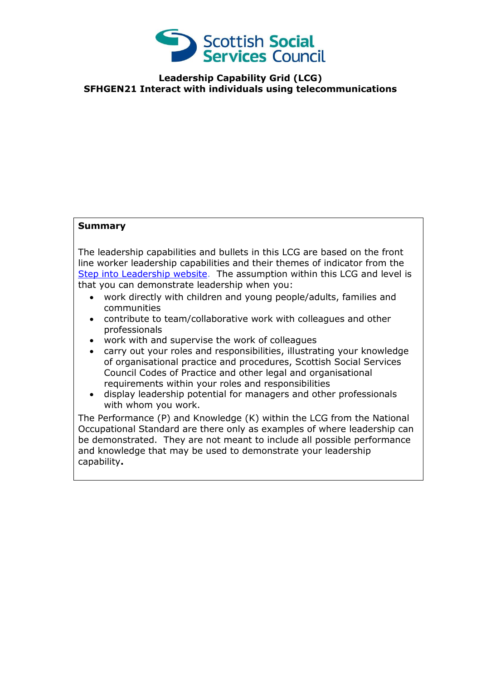

**Leadership Capability Grid (LCG) SFHGEN21 Interact with individuals using telecommunications**

## **Summary**

The leadership capabilities and bullets in this LCG are based on the front line worker leadership capabilities and their themes of indicator from the [Step into Leadership website.](http://www.stepintoleadership.info/) The assumption within this LCG and level is that you can demonstrate leadership when you:

- work directly with children and young people/adults, families and communities
- contribute to team/collaborative work with colleagues and other professionals
- work with and supervise the work of colleagues
- carry out your roles and responsibilities, illustrating your knowledge of organisational practice and procedures, Scottish Social Services Council Codes of Practice and other legal and organisational requirements within your roles and responsibilities
- display leadership potential for managers and other professionals with whom you work.

The Performance (P) and Knowledge (K) within the LCG from the National Occupational Standard are there only as examples of where leadership can be demonstrated. They are not meant to include all possible performance and knowledge that may be used to demonstrate your leadership capability**.**